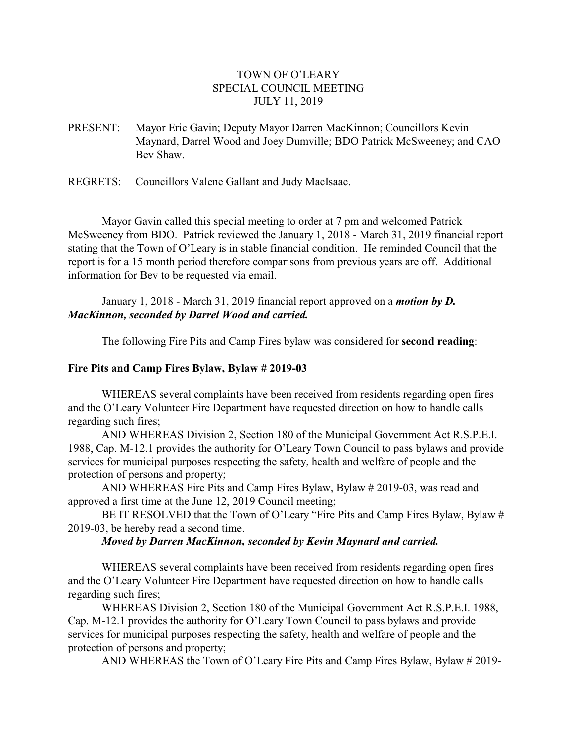## TOWN OF O'LEARY SPECIAL COUNCIL MEETING JULY 11, 2019

- PRESENT: Mayor Eric Gavin; Deputy Mayor Darren MacKinnon; Councillors Kevin Maynard, Darrel Wood and Joey Dumville; BDO Patrick McSweeney; and CAO Bev Shaw.
- REGRETS: Councillors Valene Gallant and Judy MacIsaac.

Mayor Gavin called this special meeting to order at 7 pm and welcomed Patrick McSweeney from BDO. Patrick reviewed the January 1, 2018 - March 31, 2019 financial report stating that the Town of O'Leary is in stable financial condition. He reminded Council that the report is for a 15 month period therefore comparisons from previous years are off. Additional information for Bev to be requested via email.

January 1, 2018 - March 31, 2019 financial report approved on a *motion by D. MacKinnon, seconded by Darrel Wood and carried.*

The following Fire Pits and Camp Fires bylaw was considered for **second reading**:

## **Fire Pits and Camp Fires Bylaw, Bylaw # 2019-03**

WHEREAS several complaints have been received from residents regarding open fires and the O'Leary Volunteer Fire Department have requested direction on how to handle calls regarding such fires;

AND WHEREAS Division 2, Section 180 of the Municipal Government Act R.S.P.E.I. 1988, Cap. M-12.1 provides the authority for O'Leary Town Council to pass bylaws and provide services for municipal purposes respecting the safety, health and welfare of people and the protection of persons and property;

AND WHEREAS Fire Pits and Camp Fires Bylaw, Bylaw # 2019-03, was read and approved a first time at the June 12, 2019 Council meeting;

BE IT RESOLVED that the Town of O'Leary "Fire Pits and Camp Fires Bylaw, Bylaw # 2019-03, be hereby read a second time.

## *Moved by Darren MacKinnon, seconded by Kevin Maynard and carried.*

WHEREAS several complaints have been received from residents regarding open fires and the O'Leary Volunteer Fire Department have requested direction on how to handle calls regarding such fires;

WHEREAS Division 2, Section 180 of the Municipal Government Act R.S.P.E.I. 1988, Cap. M-12.1 provides the authority for O'Leary Town Council to pass bylaws and provide services for municipal purposes respecting the safety, health and welfare of people and the protection of persons and property;

AND WHEREAS the Town of O'Leary Fire Pits and Camp Fires Bylaw, Bylaw # 2019-